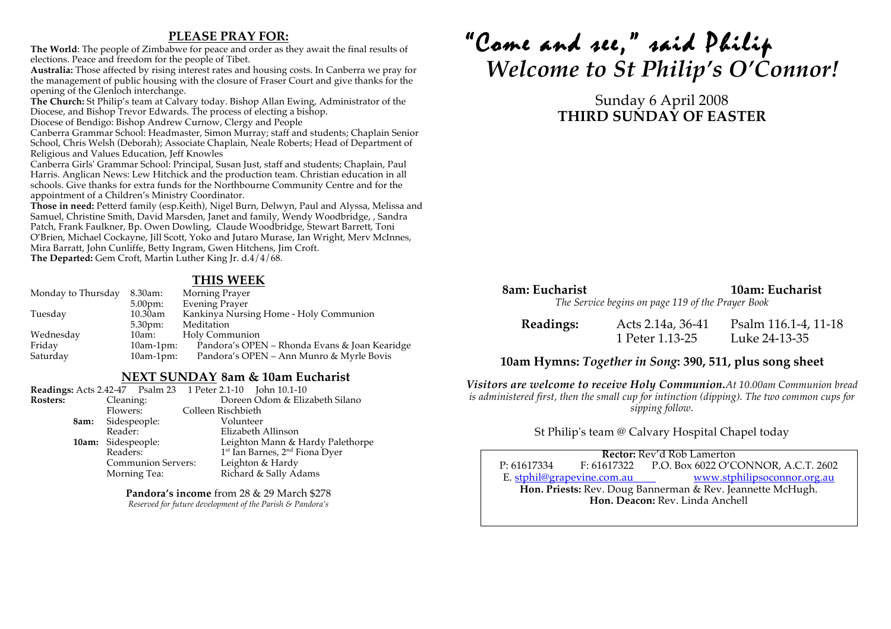### **PLEASE PRAY FOR:**

**The World**: The people of Zimbabwe for peace and order as they await the final results of elections. Peace and freedom for the people of Tibet.

**Australia:** Those affected by rising interest rates and housing costs. In Canberra we pray for the management of public housing with the closure of Fraser Court and give thanks for the opening of the Glenloch interchange.

**The Church:** St Philip's team at Calvary today. Bishop Allan Ewing, Administrator of the Diocese, and Bishop Trevor Edwards. The process of electing a bishop.

Diocese of Bendigo: Bishop Andrew Curnow, Clergy and People

Canberra Grammar School: Headmaster, Simon Murray; staff and students; Chaplain Senior School, Chris Welsh (Deborah); Associate Chaplain, Neale Roberts; Head of Department of Religious and Values Education, Jeff Knowles

Canberra Girls' Grammar School: Principal, Susan Just, staff and students; Chaplain, Paul Harris. Anglican News: Lew Hitchick and the production team. Christian education in all schools. Give thanks for extra funds for the Northbourne Community Centre and for the appointment of a Children's Ministry Coordinator.

Those in need: Petterd family (esp.Keith), Nigel Burn, Delwyn, Paul and Alyssa, Melissa and Samuel, Christine Smith, David Marsden, Janet and family, Wendy Woodbridge, , Sandra Patch, Frank Faulkner, Bp. Owen Dowling, Claude Woodbridge, Stewart Barrett, Toni O'Brien, Michael Cockayne, Jill Scott, Yoko and Jutaro Murase, Ian Wright, Merv McInnes, Mira Barratt, John Cunliffe, Betty Ingram, Gwen Hitchens, Jim Croft. **The Departed:** Gem Croft, Martin Luther King Jr. d.4/4/68.

### **THIS WEEK**

| Monday to Thursday | 8.30am:            | Morning Prayer                                |
|--------------------|--------------------|-----------------------------------------------|
|                    | 5.00 <sub>pm</sub> | <b>Evening Prayer</b>                         |
| Tuesday            | 10.30am            | Kankinya Nursing Home - Holy Communion        |
|                    | $5.30 \text{pm}$   | Meditation                                    |
| Wednesday          | 10am:              | Holy Communion                                |
| Friday             | $10am-1pm$ :       | Pandora's OPEN – Rhonda Evans & Joan Kearidge |
| Saturday           | $10am-1pm$ :       | Pandora's OPEN – Ann Munro & Myrle Bovis      |
|                    |                    |                                               |

#### **NEXT SUNDAY 8am & 10am Eucharist**

|                              |      |                           |                                |  |                                  | Readings: Acts 2.42-47  Psalm 23  1 Peter 2.1-10  John 10.1-10 |
|------------------------------|------|---------------------------|--------------------------------|--|----------------------------------|----------------------------------------------------------------|
| Cleaning:<br><b>Rosters:</b> |      |                           | Doreen Odom & Elizabeth Silano |  |                                  |                                                                |
| Flowers:                     |      | Colleen Rischbieth        |                                |  |                                  |                                                                |
|                              | 8am: | Sidespeople:              |                                |  | Volunteer                        |                                                                |
|                              |      | Reader:                   |                                |  |                                  | Elizabeth Allinson                                             |
|                              |      | 10am: Sidespeople:        |                                |  | Leighton Mann & Hardy Palethorpe |                                                                |
|                              |      | Readers:                  |                                |  |                                  | 1 <sup>st</sup> Ian Barnes, 2 <sup>nd</sup> Fiona Dyer         |
|                              |      | <b>Communion Servers:</b> |                                |  |                                  | Leighton & Hardy                                               |
|                              |      | Morning Tea:              |                                |  |                                  | Richard & Sally Adams                                          |

**Pandora's income** from 28 & 29 March \$278 *Reserved for future development of the Parish & Pandora's*

# "Come and see," said Philip *Welcome to St Philip's O'Connor!*

# Sunday 6 April 2008 **THIRD SUNDAY OF EASTER**

# **8am: Eucharist 10am: Eucharist**

*The Service begins on page 119 of the Prayer Book*

| Readings: | Acts 2.14a, 36-41 | Psalm 116.1-4, 11-18 |
|-----------|-------------------|----------------------|
|           | 1 Peter 1.13-25   | Luke 24-13-35        |

#### **10am Hymns:** *Together in Song***: 390, 511, plus song sheet**

*Visitors are welcome to receive Holy Communion.At 10.00am Communion bread is administered first, then the small cup for intinction (dipping). The two common cups for sipping follow.*

St Philip's team @ Calvary Hospital Chapel today

P: 61617334 F: 61617322 P.O. Box 6022 O'CONNOR, A.C.T. 2602 **Rector:** Rev'd Rob Lamerton E. stphil@grapevine.com.au www.stphilipsoconnor.org.au **Hon. Priests:** Rev. Doug Bannerman & Rev. Jeannette McHugh. **Hon. Deacon:** Rev. Linda Anchell